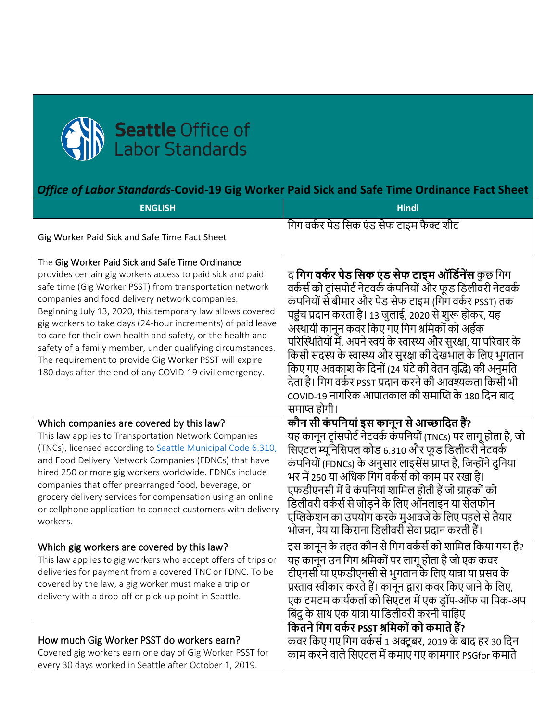

## *Office of Labor Standards-***Covid-19 Gig Worker Paid Sick and Safe Time Ordinance Fact Sheet**

| <b>ENGLISH</b>                                                                                                                                                                                                                                                                                                                                                                                                                                                                                                                                                                                           | <b>Hindi</b>                                                                                                                                                                                                                                                                                                                                                                                                                                                                                                                                                                                                                    |
|----------------------------------------------------------------------------------------------------------------------------------------------------------------------------------------------------------------------------------------------------------------------------------------------------------------------------------------------------------------------------------------------------------------------------------------------------------------------------------------------------------------------------------------------------------------------------------------------------------|---------------------------------------------------------------------------------------------------------------------------------------------------------------------------------------------------------------------------------------------------------------------------------------------------------------------------------------------------------------------------------------------------------------------------------------------------------------------------------------------------------------------------------------------------------------------------------------------------------------------------------|
| Gig Worker Paid Sick and Safe Time Fact Sheet                                                                                                                                                                                                                                                                                                                                                                                                                                                                                                                                                            | गिग वर्कर पेड सिक एंड सेफ टाइम फैक्ट शीट                                                                                                                                                                                                                                                                                                                                                                                                                                                                                                                                                                                        |
| The Gig Worker Paid Sick and Safe Time Ordinance<br>provides certain gig workers access to paid sick and paid<br>safe time (Gig Worker PSST) from transportation network<br>companies and food delivery network companies.<br>Beginning July 13, 2020, this temporary law allows covered<br>gig workers to take days (24-hour increments) of paid leave<br>to care for their own health and safety, or the health and<br>safety of a family member, under qualifying circumstances.<br>The requirement to provide Gig Worker PSST will expire<br>180 days after the end of any COVID-19 civil emergency. | द <b>गिग वर्कर पेड सिक एंड सेफ टाइम ऑर्डिनेंस</b> कुछ गिग<br>वर्कर्स को ट्रांसपोर्ट नेटवर्क कंपनियों और फूड डिलीवरी नेटवर्क<br>कंपनियों से बीमार और पेड सेफ टाइम (गिग वर्कर PSST) तक<br>पहुंच प्रदान करता है। 13 जुलाई, 2020 से शुरू होकर, यह<br>अस्थायी कानून कवर किए गए गिग श्रमिकों को अर्हक<br>परिस्थितियों में, अपने स्वयं के स्वास्थ्य और सुरक्षा, या परिवार के<br>किसी सदस्य के स्वास्थ्य और सुरक्षा की देखभाल के लिए भुगतान<br>किए गए अवकाश के दिनों (24 घंटे की वेतन वृद्धि) की अनुमति<br>देता है। गिग वर्कर PSST प्रदान करने की आवश्यकता किसी भी<br>COVID-19 नागरिक आपातकाल की समाप्ति के 180 दिन बाद<br>समाप्त होगी। |
| Which companies are covered by this law?<br>This law applies to Transportation Network Companies<br>(TNCs), licensed according to Seattle Municipal Code 6.310,<br>and Food Delivery Network Companies (FDNCs) that have<br>hired 250 or more gig workers worldwide. FDNCs include<br>companies that offer prearranged food, beverage, or<br>grocery delivery services for compensation using an online<br>or cellphone application to connect customers with delivery<br>workers.                                                                                                                       | कौन सी कंपनियां इस कानून से आच्छादित हैं?<br>यह कानून ट्रांसपोर्ट नेटवर्क कंपनियों (TNCs) पर लागू होता है, जो<br>सिएटल म्यूनिसिपल कोड 6.310 और फूड डिलीवरी नेटवर्क<br>कंपनियों (FDNCs) के अनुसार लाइसेंस प्राप्त है, जिन्होंने दुनिया<br>भर में 250 या अधिक गिग वर्कर्स को काम पर रखा है।<br>एफडीएनसी में वे कंपनियां शामिल होती हैं जो ग्राहकों को<br>डिलीवरी वर्कर्स से जोडने के लिए ऑनलाइन या सेलफोन<br>एप्लिकेशन का उपयोग करके मुआवजे के लिए पहले से तैयार<br>भोजन, पेय या किराना डिलीवरी सेवा प्रदान करती हैं।                                                                                                             |
| Which gig workers are covered by this law?<br>This law applies to gig workers who accept offers of trips or<br>deliveries for payment from a covered TNC or FDNC. To be<br>covered by the law, a gig worker must make a trip or<br>delivery with a drop-off or pick-up point in Seattle.                                                                                                                                                                                                                                                                                                                 | इस कानून के तहत कौन से गिग वर्कर्स को शामिल किया गया है?<br>यह कानून उन गिग श्रमिकों पर लागू होता है जो एक कवर<br>टीएनसी या एफडीएनसी से भुगतान के लिए यात्रा या प्रसव के<br>प्रस्ताव स्वीकार करते हैं। कानून द्वारा कवर किए जाने के लिए,<br>एक टमटम कार्यकर्ता को सिएटल में एक ड़ॉप-ऑफ या पिक-अप<br>बिंदु के साथ एक यात्रा या डिलीवरी करनी चाहिए                                                                                                                                                                                                                                                                                |
| How much Gig Worker PSST do workers earn?<br>Covered gig workers earn one day of Gig Worker PSST for<br>every 30 days worked in Seattle after October 1, 2019.                                                                                                                                                                                                                                                                                                                                                                                                                                           | कितने गिग वर्कर PSST श्रमिकों को कमाते हैं?<br>कवर किए गए गिग वर्कर्स 1 अक्टूबर, 2019 के बाद हर 30 दिन<br>काम करने वाले सिएटल में कमाए गए कामगार PSGfor कमाते                                                                                                                                                                                                                                                                                                                                                                                                                                                                   |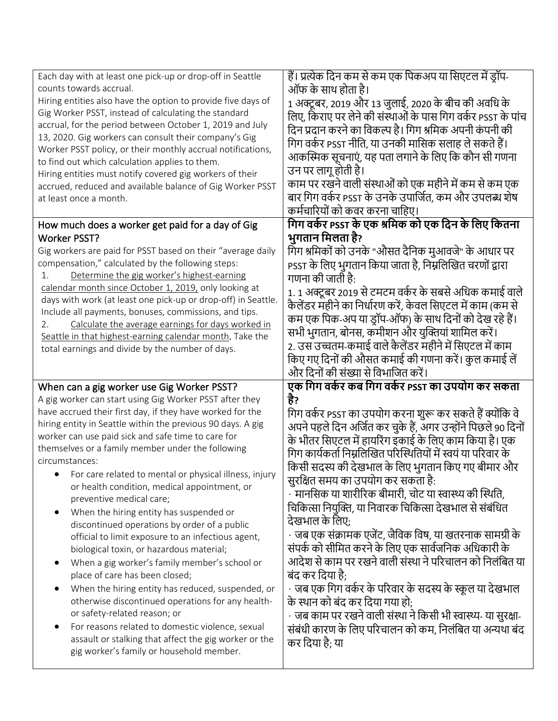| Each day with at least one pick-up or drop-off in Seattle<br>counts towards accrual.<br>Hiring entities also have the option to provide five days of<br>Gig Worker PSST, instead of calculating the standard<br>accrual, for the period between October 1, 2019 and July<br>13, 2020. Gig workers can consult their company's Gig<br>Worker PSST policy, or their monthly accrual notifications,<br>to find out which calculation applies to them.<br>Hiring entities must notify covered gig workers of their<br>accrued, reduced and available balance of Gig Worker PSST<br>at least once a month.                                                                                                                                                                                                                                                                                                                                                                                                                                                                                                                            | हैं। प्रत्येक दिन कम से कम एक पिकअप या सिएटल में ड्रॉप-<br>ऑफ के साथ होता है।<br>1 अक्टूबर, 2019 और 13 जुलाई, 2020 के बीच की अवधि के<br>लिए, किराए पर लेने की संस्थाओं के पास गिग वर्कर PSST के पांच<br>दिन प्रदान करने का विकल्प है। गिग श्रमिक अपनी कंपनी की<br>गिग वर्कर PSST नीति, या उनकी मासिक सलाह ले सकते हैं।<br>आकस्मिक सूचनाएं, यह पता लगाने के लिए कि कौन सी गणना<br>उन पर लागू होती है।<br>काम पर रखने वाली संस्थाओं को एक महीने में कम से कम एक<br>बार गिग वर्कर PSST के उनके उपार्जित, कम और उपलब्ध शेष<br>कर्मचारियों को कवर करना चाहिए।                                                                                                                                                                                                                                                                                                                                                                                                                                       |
|----------------------------------------------------------------------------------------------------------------------------------------------------------------------------------------------------------------------------------------------------------------------------------------------------------------------------------------------------------------------------------------------------------------------------------------------------------------------------------------------------------------------------------------------------------------------------------------------------------------------------------------------------------------------------------------------------------------------------------------------------------------------------------------------------------------------------------------------------------------------------------------------------------------------------------------------------------------------------------------------------------------------------------------------------------------------------------------------------------------------------------|------------------------------------------------------------------------------------------------------------------------------------------------------------------------------------------------------------------------------------------------------------------------------------------------------------------------------------------------------------------------------------------------------------------------------------------------------------------------------------------------------------------------------------------------------------------------------------------------------------------------------------------------------------------------------------------------------------------------------------------------------------------------------------------------------------------------------------------------------------------------------------------------------------------------------------------------------------------------------------------------|
| How much does a worker get paid for a day of Gig<br><b>Worker PSST?</b><br>Gig workers are paid for PSST based on their "average daily<br>compensation," calculated by the following steps:<br>Determine the gig worker's highest-earning<br>1.<br>calendar month since October 1, 2019, only looking at<br>days with work (at least one pick-up or drop-off) in Seattle.<br>Include all payments, bonuses, commissions, and tips.<br>Calculate the average earnings for days worked in<br>2.<br>Seattle in that highest-earning calendar month. Take the<br>total earnings and divide by the number of days.                                                                                                                                                                                                                                                                                                                                                                                                                                                                                                                    | गिग वर्कर PSST के एक श्रमिक को एक दिन के लिए कितना<br>भुगतान मिलता है?<br>गिग श्रमिकों को उनके "औसत दैनिक मुआवजे" के आधार पर<br>PSST के लिए भुगतान किया जाता है, निम्नलिखित चरणों द्वारा<br>गणना की जाती है:<br>1. 1 अक्टूबर 2019 से टमटम वर्कर के सबसे अधिक कमाई वाले<br>कैलेंडर महीने का निर्धारण करें, केवल सिएटल में काम (कम से<br>कम एक पिक-अप या ड्रॉप-ऑफ) के साथ दिनों को देख रहे हैं।<br>सभी भुगतान, बोनस, कमीशन और युक्तियां शामिल करें।<br>2. उस उच्चतम-कमाई वाले कैलेंडर महीने में सिएटल में काम<br>किए गए दिनों की औसत कमाई की गणना करें। कुल कमाई लें<br>और दिनों की संख्या से विभाजित करें।                                                                                                                                                                                                                                                                                                                                                                                      |
| When can a gig worker use Gig Worker PSST?<br>A gig worker can start using Gig Worker PSST after they<br>have accrued their first day, if they have worked for the<br>hiring entity in Seattle within the previous 90 days. A gig<br>worker can use paid sick and safe time to care for<br>themselves or a family member under the following<br>circumstances:<br>• For care related to mental or physical illness, injury<br>or health condition, medical appointment, or<br>preventive medical care;<br>When the hiring entity has suspended or<br>discontinued operations by order of a public<br>official to limit exposure to an infectious agent,<br>biological toxin, or hazardous material;<br>When a gig worker's family member's school or<br>$\bullet$<br>place of care has been closed;<br>When the hiring entity has reduced, suspended, or<br>$\bullet$<br>otherwise discontinued operations for any health-<br>or safety-related reason; or<br>For reasons related to domestic violence, sexual<br>$\bullet$<br>assault or stalking that affect the gig worker or the<br>gig worker's family or household member. | एक गिग वर्कर कब गिग वर्कर PSST का उपयोग कर सकता<br>है?<br>गिग वर्कर PSST का उपयोग करना शुरू कर सकते हैं क्योंकि वे<br>अपने पहले दिन अर्जित कर चुके हैं, अगर उन्होंने पिछले 90 दिनों<br>के भीतर सिएटल में हायरिंग इकाई के लिए काम किया है। एक<br>गिग कार्यकर्ता निम्नलिखित परिस्थितियों में स्वयं या परिवार के<br>किसी सदस्य की देखभाल के लिए भुगतान किए गए बीमार और<br>सुरक्षित समय का उपयोग कर सकता है:<br>• मानसिक या शारीरिक बीमारी, चोट या स्वास्थ्य की स्थिति,<br>चिकित्सा नियुक्ति, या निवारक चिकित्सा देखभाल से संबंधित<br>देखभाल के लिए;<br>• जब एक संक्रामक एजेंट, जैविक विष, या खतरनाक सामग्री के<br>संपर्क को सीमित करने के लिए एक सार्वजनिक अधिकारी के<br>आदेश से काम पर रखने वाली संस्था ने परिचालन को निलंबित या<br>बंद कर दिया है;<br>ं जब एक गिग वर्कर के परिवार के सदस्य के स्कूल या देखभाल<br>के स्थान को बंद कर दिया गया हो;<br>• जब काम पर रखने वाली संस्था ने किसी भी स्वास्थ्य- या सुरक्षा-<br>संबंधी कारण के लिए परिचालन को कम, निलंबित या अन्यथा बंद<br>कर दिया है; या |